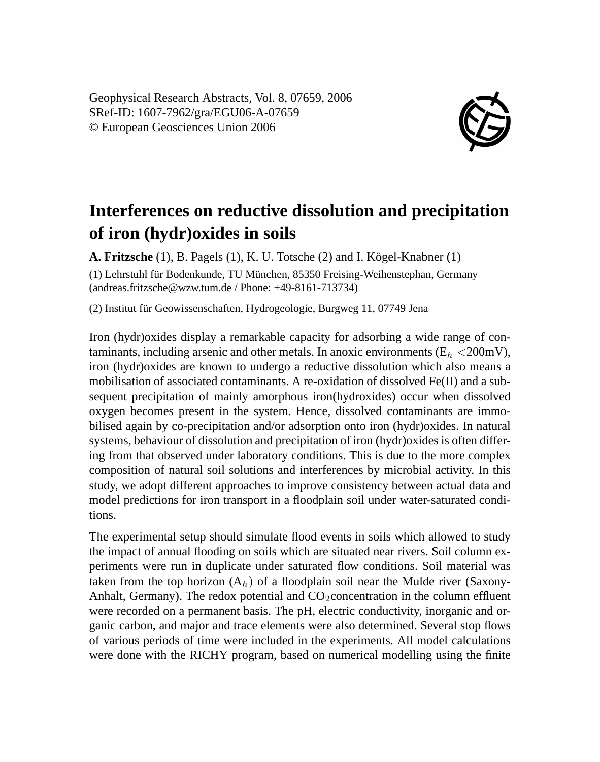Geophysical Research Abstracts, Vol. 8, 07659, 2006 SRef-ID: 1607-7962/gra/EGU06-A-07659 © European Geosciences Union 2006



## **Interferences on reductive dissolution and precipitation of iron (hydr)oxides in soils**

**A. Fritzsche** (1), B. Pagels (1), K. U. Totsche (2) and I. Kögel-Knabner (1) (1) Lehrstuhl für Bodenkunde, TU München, 85350 Freising-Weihenstephan, Germany (andreas.fritzsche@wzw.tum.de / Phone: +49-8161-713734)

(2) Institut für Geowissenschaften, Hydrogeologie, Burgweg 11, 07749 Jena

Iron (hydr)oxides display a remarkable capacity for adsorbing a wide range of contaminants, including arsenic and other metals. In anoxic environments ( $E<sub>h</sub> < 200$ mV), iron (hydr)oxides are known to undergo a reductive dissolution which also means a mobilisation of associated contaminants. A re-oxidation of dissolved Fe(II) and a subsequent precipitation of mainly amorphous iron(hydroxides) occur when dissolved oxygen becomes present in the system. Hence, dissolved contaminants are immobilised again by co-precipitation and/or adsorption onto iron (hydr)oxides. In natural systems, behaviour of dissolution and precipitation of iron (hydr)oxides is often differing from that observed under laboratory conditions. This is due to the more complex composition of natural soil solutions and interferences by microbial activity. In this study, we adopt different approaches to improve consistency between actual data and model predictions for iron transport in a floodplain soil under water-saturated conditions.

The experimental setup should simulate flood events in soils which allowed to study the impact of annual flooding on soils which are situated near rivers. Soil column experiments were run in duplicate under saturated flow conditions. Soil material was taken from the top horizon  $(A_h)$  of a floodplain soil near the Mulde river (Saxony-Anhalt, Germany). The redox potential and  $CO_2$ concentration in the column effluent were recorded on a permanent basis. The pH, electric conductivity, inorganic and organic carbon, and major and trace elements were also determined. Several stop flows of various periods of time were included in the experiments. All model calculations were done with the RICHY program, based on numerical modelling using the finite